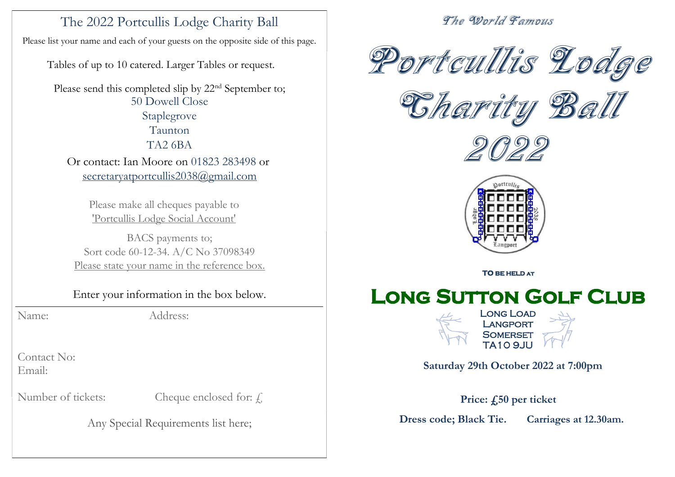# The 2022 Portcullis Lodge Charity Ball

Please list your name and each of your guests on the opposite side of this page.

Tables of up to 10 catered. Larger Tables or request.

Please send this completed slip by 22<sup>nd</sup> September to; 50 Dowell Close Staplegrove Taunton TA2 6BA Or contact: Ian Moore on 01823 283498 or secretaryatportcullis2038@gmail.com

> Please make all cheques payable to 'Portcullis Lodge Social Account'

BACS payments to; Sort code 60-12-34. A/C No 37098349 Please state your name in the reference box.

Enter your information in the box below.

Name: Address:

Contact No: Email:

Number of tickets: Cheque enclosed for:  $\ell$ 

Any Special Requirements list here;

### The World Famous



Charity Ball





**TO BE HELD at** 

# **Long Sutton Golf Club**



**Saturday 29th October 2022 at 7:00pm**

**Price: £50 per ticket**

**Dress code; Black Tie. Carriages at 12.30am.**